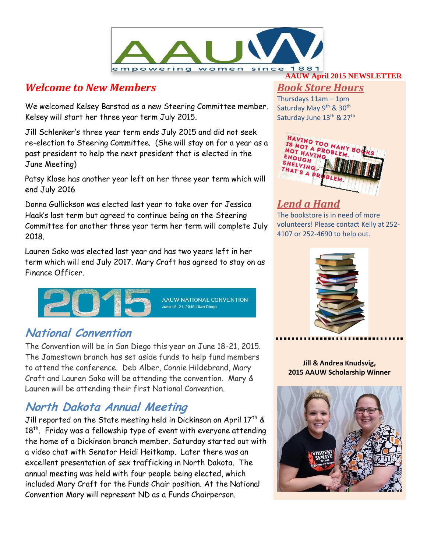

### *Welcome to New Members*

We welcomed Kelsey Barstad as a new Steering Committee member. Kelsey will start her three year term July 2015.

Jill Schlenker's three year term ends July 2015 and did not seek re-election to Steering Committee. (She will stay on for a year as a past president to help the next president that is elected in the June Meeting)

Patsy Klose has another year left on her three year term which will end July 2016

Donna Gullickson was elected last year to take over for Jessica Haak's last term but agreed to continue being on the Steering Committee for another three year term her term will complete July 2018.

Lauren Sako was elected last year and has two years left in her term which will end July 2017. Mary Craft has agreed to stay on as Finance Officer.



### **National Convention**

The Convention will be in San Diego this year on June 18-21, 2015. The Jamestown branch has set aside funds to help fund members to attend the conference. Deb Alber, Connie Hildebrand, Mary Craft and Lauren Sako will be attending the convention. Mary & Lauren will be attending their first National Convention.

## **North Dakota Annual Meeting**

Jill reported on the State meeting held in Dickinson on April 17<sup>th</sup> &  $18<sup>th</sup>$ . Friday was a fellowship type of event with everyone attending the home of a Dickinson branch member. Saturday started out with a video chat with Senator Heidi Heitkamp. Later there was an excellent presentation of sex trafficking in North Dakota. The annual meeting was held with four people being elected, which included Mary Craft for the Funds Chair position. At the National Convention Mary will represent ND as a Funds Chairperson.

#### **AAUW April 2015 NEWSLETTER**

#### *Book Store Hours*

Thursdays 11am – 1pm Saturday May 9<sup>th</sup> & 30<sup>th</sup> Saturday June  $13^{\text{th}}$  & 27<sup>th</sup>



## *Lend a Hand*

The bookstore is in need of more volunteers! Please contact Kelly at 252- 4107 or 252-4690 to help out.



**Jill & Andrea Knudsvig, 2015 AAUW Scholarship Winner**